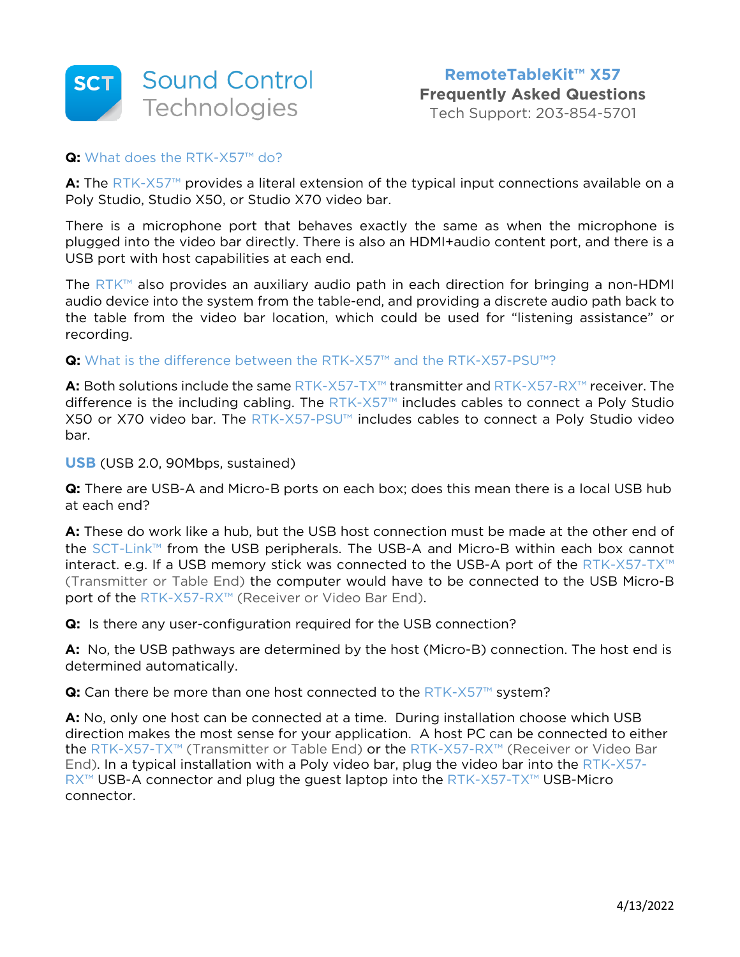

#### **Q:** What does the RTK-X57™ do?

**A:** The RTK-X57™ provides a literal extension of the typical input connections available on a Poly Studio, Studio X50, or Studio X70 video bar.

There is a microphone port that behaves exactly the same as when the microphone is plugged into the video bar directly. There is also an HDMI+audio content port, and there is a USB port with host capabilities at each end.

The RTK™ also provides an auxiliary audio path in each direction for bringing a non-HDMI audio device into the system from the table-end, and providing a discrete audio path back to the table from the video bar location, which could be used for "listening assistance" or recording.

**Q:** What is the difference between the RTK-X57™ and the RTK-X57-PSU™?

**A:** Both solutions include the same RTK-X57-TX™ transmitter and RTK-X57-RX™ receiver. The difference is the including cabling. The RTK-X57™ includes cables to connect a Poly Studio X50 or X70 video bar. The RTK-X57-PSU™ includes cables to connect a Poly Studio video bar.

**USB** (USB 2.0, 90Mbps, sustained)

**Q:** There are USB-A and Micro-B ports on each box; does this mean there is a local USB hub at each end?

**A:** These do work like a hub, but the USB host connection must be made at the other end of the SCT-Link™ from the USB peripherals. The USB-A and Micro-B within each box cannot interact. e.g. If a USB memory stick was connected to the USB-A port of the RTK-X57-TX™ (Transmitter or Table End) the computer would have to be connected to the USB Micro-B port of the RTK-X57-RX™ (Receiver or Video Bar End).

**Q:** Is there any user-configuration required for the USB connection?

**A:** No, the USB pathways are determined by the host (Micro-B) connection. The host end is determined automatically.

**Q:** Can there be more than one host connected to the RTK-X57™ system?

**A:** No, only one host can be connected at a time. During installation choose which USB direction makes the most sense for your application. A host PC can be connected to either the RTK-X57-TX™ (Transmitter or Table End) or the RTK-X57-RX™ (Receiver or Video Bar End). In a typical installation with a Poly video bar, plug the video bar into the RTK-X57- RX<sup>™</sup> USB-A connector and plug the guest laptop into the RTK-X57-TX™ USB-Micro connector.